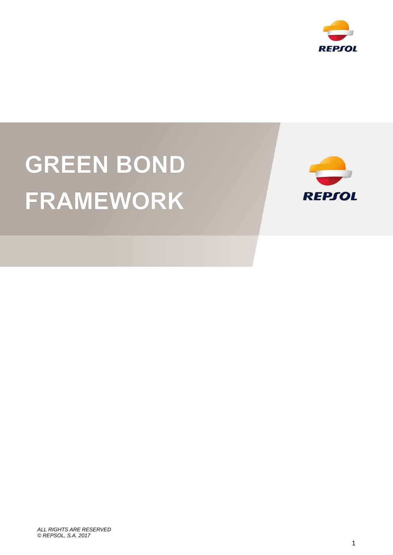

# **GREEN BOND** FRAMEWORK



*ALL RIGHTS ARE RESERVED © REPSOL, S.A. 2017*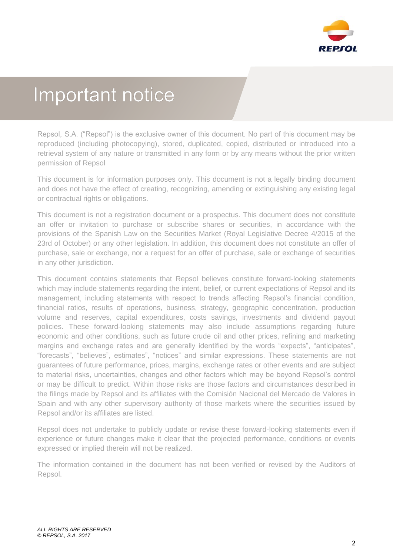

# Important notice

Repsol, S.A. ("Repsol") is the exclusive owner of this document. No part of this document may be reproduced (including photocopying), stored, duplicated, copied, distributed or introduced into a retrieval system of any nature or transmitted in any form or by any means without the prior written permission of Repsol

This document is for information purposes only. This document is not a legally binding document and does not have the effect of creating, recognizing, amending or extinguishing any existing legal or contractual rights or obligations.

This document is not a registration document or a prospectus. This document does not constitute an offer or invitation to purchase or subscribe shares or securities, in accordance with the provisions of the Spanish Law on the Securities Market (Royal Legislative Decree 4/2015 of the 23rd of October) or any other legislation. In addition, this document does not constitute an offer of purchase, sale or exchange, nor a request for an offer of purchase, sale or exchange of securities in any other jurisdiction.

This document contains statements that Repsol believes constitute forward-looking statements which may include statements regarding the intent, belief, or current expectations of Repsol and its management, including statements with respect to trends affecting Repsol's financial condition, financial ratios, results of operations, business, strategy, geographic concentration, production volume and reserves, capital expenditures, costs savings, investments and dividend payout policies. These forward-looking statements may also include assumptions regarding future economic and other conditions, such as future crude oil and other prices, refining and marketing margins and exchange rates and are generally identified by the words "expects", "anticipates", "forecasts", "believes", estimates", "notices" and similar expressions. These statements are not guarantees of future performance, prices, margins, exchange rates or other events and are subject to material risks, uncertainties, changes and other factors which may be beyond Repsol's control or may be difficult to predict. Within those risks are those factors and circumstances described in the filings made by Repsol and its affiliates with the Comisión Nacional del Mercado de Valores in Spain and with any other supervisory authority of those markets where the securities issued by Repsol and/or its affiliates are listed.

Repsol does not undertake to publicly update or revise these forward-looking statements even if experience or future changes make it clear that the projected performance, conditions or events expressed or implied therein will not be realized.

The information contained in the document has not been verified or revised by the Auditors of Repsol.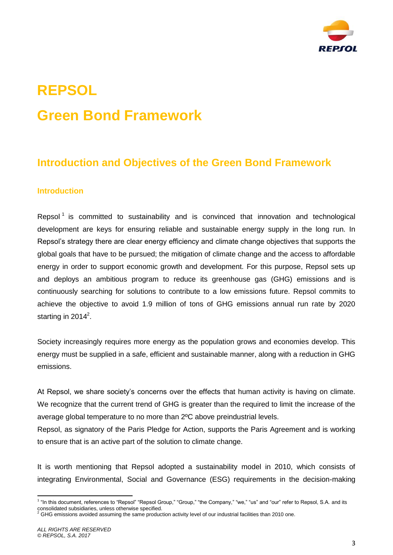

# **REPSOL Green Bond Framework**

# **Introduction and Objectives of the Green Bond Framework**

#### **Introduction**

Repsol<sup>1</sup> is committed to sustainability and is convinced that innovation and technological development are keys for ensuring reliable and sustainable energy supply in the long run. In Repsol's strategy there are clear energy efficiency and climate change objectives that supports the global goals that have to be pursued; the mitigation of climate change and the access to affordable energy in order to support economic growth and development. For this purpose, Repsol sets up and deploys an ambitious program to reduce its greenhouse gas (GHG) emissions and is continuously searching for solutions to contribute to a low emissions future. Repsol commits to achieve the objective to avoid 1.9 million of tons of GHG emissions annual run rate by 2020 starting in 2014 $2$ .

Society increasingly requires more energy as the population grows and economies develop. This energy must be supplied in a safe, efficient and sustainable manner, along with a reduction in GHG emissions.

At Repsol, we share society's concerns over the effects that human activity is having on climate. We recognize that the current trend of GHG is greater than the required to limit the increase of the average global temperature to no more than 2ºC above preindustrial levels.

Repsol, as signatory of the Paris Pledge for Action, supports the Paris Agreement and is working to ensure that is an active part of the solution to climate change.

It is worth mentioning that Repsol adopted a sustainability model in 2010, which consists of integrating Environmental, Social and Governance (ESG) requirements in the decision-making

 1 "In this document, references to "Repsol" "Repsol Group," "Group," "the Company," "we," "us" and "our" refer to Repsol, S.A. and its consolidated subsidiaries, unless otherwise specified.<br><sup>2</sup> GHG emissions avoided assuming the same production activity level of our industrial facilities than 2010 one.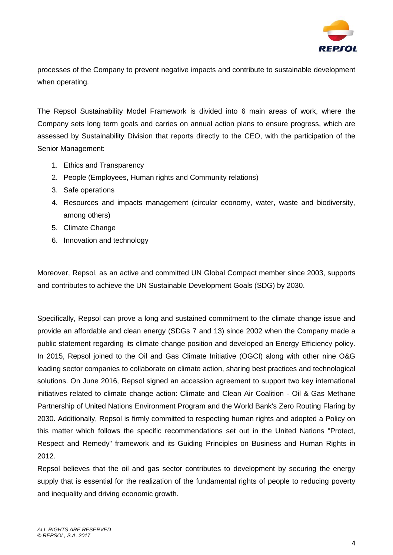

processes of the Company to prevent negative impacts and contribute to sustainable development when operating.

The Repsol Sustainability Model Framework is divided into 6 main areas of work, where the Company sets long term goals and carries on annual action plans to ensure progress, which are assessed by Sustainability Division that reports directly to the CEO, with the participation of the Senior Management:

- 1. Ethics and Transparency
- 2. People (Employees, Human rights and Community relations)
- 3. Safe operations
- 4. Resources and impacts management (circular economy, water, waste and biodiversity, among others)
- 5. Climate Change
- 6. Innovation and technology

Moreover, Repsol, as an active and committed UN Global Compact member since 2003, supports and contributes to achieve the UN Sustainable Development Goals (SDG) by 2030.

Specifically, Repsol can prove a long and sustained commitment to the climate change issue and provide an affordable and clean energy (SDGs 7 and 13) since 2002 when the Company made a public statement regarding its climate change position and developed an Energy Efficiency policy. In 2015, Repsol joined to the Oil and Gas Climate Initiative (OGCI) along with other nine O&G leading sector companies to collaborate on climate action, sharing best practices and technological solutions. On June 2016, Repsol signed an accession agreement to support two key international initiatives related to climate change action: Climate and Clean Air Coalition - Oil & Gas Methane Partnership of United Nations Environment Program and the World Bank's Zero Routing Flaring by 2030. Additionally, Repsol is firmly committed to respecting human rights and adopted a Policy on this matter which follows the specific recommendations set out in the United Nations "Protect, Respect and Remedy" framework and its Guiding Principles on Business and Human Rights in 2012.

Repsol believes that the oil and gas sector contributes to development by securing the energy supply that is essential for the realization of the fundamental rights of people to reducing poverty and inequality and driving economic growth.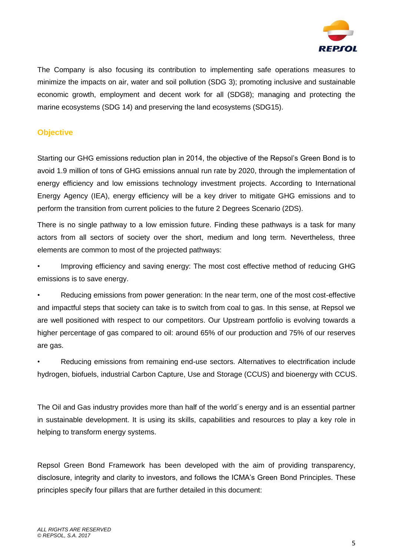

The Company is also focusing its contribution to implementing safe operations measures to minimize the impacts on air, water and soil pollution (SDG 3); promoting inclusive and sustainable economic growth, employment and decent work for all (SDG8); managing and protecting the marine ecosystems (SDG 14) and preserving the land ecosystems (SDG15).

#### **Objective**

Starting our GHG emissions reduction plan in 2014, the objective of the Repsol's Green Bond is to avoid 1.9 million of tons of GHG emissions annual run rate by 2020, through the implementation of energy efficiency and low emissions technology investment projects. According to International Energy Agency (IEA), energy efficiency will be a key driver to mitigate GHG emissions and to perform the transition from current policies to the future 2 Degrees Scenario (2DS).

There is no single pathway to a low emission future. Finding these pathways is a task for many actors from all sectors of society over the short, medium and long term. Nevertheless, three elements are common to most of the projected pathways:

• Improving efficiency and saving energy: The most cost effective method of reducing GHG emissions is to save energy.

• Reducing emissions from power generation: In the near term, one of the most cost-effective and impactful steps that society can take is to switch from coal to gas. In this sense, at Repsol we are well positioned with respect to our competitors. Our Upstream portfolio is evolving towards a higher percentage of gas compared to oil: around 65% of our production and 75% of our reserves are gas.

• Reducing emissions from remaining end-use sectors. Alternatives to electrification include hydrogen, biofuels, industrial Carbon Capture, Use and Storage (CCUS) and bioenergy with CCUS.

The Oil and Gas industry provides more than half of the world´s energy and is an essential partner in sustainable development. It is using its skills, capabilities and resources to play a key role in helping to transform energy systems.

Repsol Green Bond Framework has been developed with the aim of providing transparency, disclosure, integrity and clarity to investors, and follows the ICMA's Green Bond Principles. These principles specify four pillars that are further detailed in this document: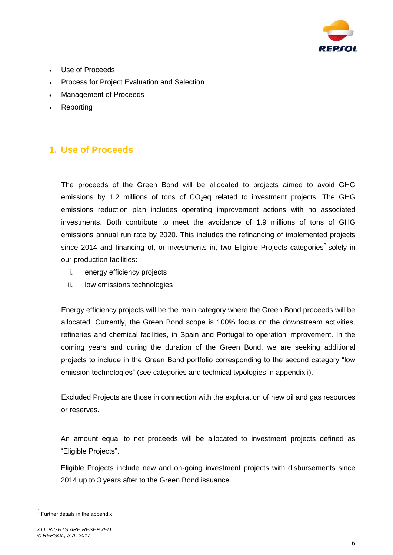

- Use of Proceeds
- Process for Project Evaluation and Selection
- Management of Proceeds
- Reporting

### **1. Use of Proceeds**

The proceeds of the Green Bond will be allocated to projects aimed to avoid GHG emissions by 1.2 millions of tons of  $CO<sub>2</sub>$ eq related to investment projects. The GHG emissions reduction plan includes operating improvement actions with no associated investments. Both contribute to meet the avoidance of 1.9 millions of tons of GHG emissions annual run rate by 2020. This includes the refinancing of implemented projects since 2014 and financing of, or investments in, two Eligible Projects categories<sup>3</sup> solely in our production facilities:

- i. energy efficiency projects
- ii. low emissions technologies

Energy efficiency projects will be the main category where the Green Bond proceeds will be allocated. Currently, the Green Bond scope is 100% focus on the downstream activities, refineries and chemical facilities, in Spain and Portugal to operation improvement. In the coming years and during the duration of the Green Bond, we are seeking additional projects to include in the Green Bond portfolio corresponding to the second category "low emission technologies" (see categories and technical typologies in appendix i).

Excluded Projects are those in connection with the exploration of new oil and gas resources or reserves.

An amount equal to net proceeds will be allocated to investment projects defined as "Eligible Projects".

Eligible Projects include new and on-going investment projects with disbursements since 2014 up to 3 years after to the Green Bond issuance.

**.** 

<sup>&</sup>lt;sup>3</sup> Further details in the appendix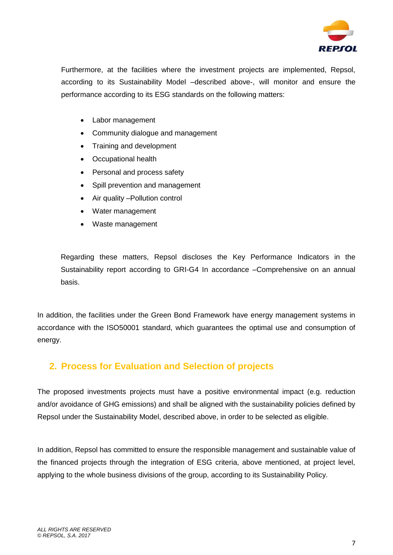

Furthermore, at the facilities where the investment projects are implemented, Repsol, according to its Sustainability Model –described above-, will monitor and ensure the performance according to its ESG standards on the following matters:

- Labor management
- Community dialogue and management
- Training and development
- Occupational health
- Personal and process safety
- Spill prevention and management
- Air quality Pollution control
- Water management
- Waste management

Regarding these matters, Repsol discloses the Key Performance Indicators in the [Sustainability report](https://www.repsol.energy/imagenes/global/en/Indicadores_de_detalle_Informe_de_Sostenibilidad_2016_EN_tcm14-63407.pdf) according to GRI-G4 In accordance –Comprehensive on an annual basis.

In addition, the facilities under the Green Bond Framework have energy management systems in accordance with the ISO50001 standard, which guarantees the optimal use and consumption of energy.

### **2. Process for Evaluation and Selection of projects**

The proposed investments projects must have a positive environmental impact (e.g. reduction and/or avoidance of GHG emissions) and shall be aligned with the sustainability policies defined by Repsol under the Sustainability Model, described above, in order to be selected as eligible.

In addition, Repsol has committed to ensure the responsible management and sustainable value of the financed projects through the integration of ESG criteria, above mentioned, at project level, applying to the whole business divisions of the group, according to its Sustainability Policy.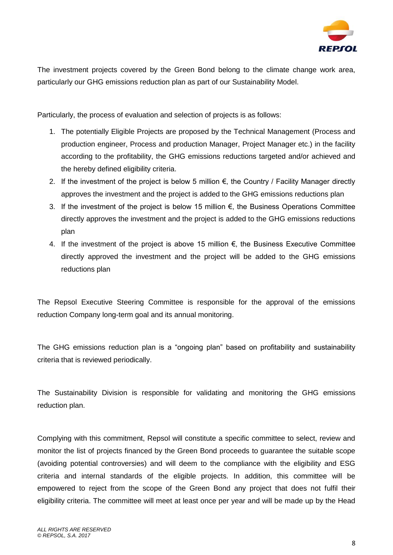

The investment projects covered by the Green Bond belong to the climate change work area, particularly our GHG emissions reduction plan as part of our Sustainability Model.

Particularly, the process of evaluation and selection of projects is as follows:

- 1. The potentially Eligible Projects are proposed by the Technical Management (Process and production engineer, Process and production Manager, Project Manager etc.) in the facility according to the profitability, the GHG emissions reductions targeted and/or achieved and the hereby defined eligibility criteria.
- 2. If the investment of the project is below 5 million  $\epsilon$ , the Country / Facility Manager directly approves the investment and the project is added to the GHG emissions reductions plan
- 3. If the investment of the project is below 15 million €, the Business Operations Committee directly approves the investment and the project is added to the GHG emissions reductions plan
- 4. If the investment of the project is above 15 million  $\epsilon$ , the Business Executive Committee directly approved the investment and the project will be added to the GHG emissions reductions plan

The Repsol Executive Steering Committee is responsible for the approval of the emissions reduction Company long-term goal and its annual monitoring.

The GHG emissions reduction plan is a "ongoing plan" based on profitability and sustainability criteria that is reviewed periodically.

The Sustainability Division is responsible for validating and monitoring the GHG emissions reduction plan.

Complying with this commitment, Repsol will constitute a specific committee to select, review and monitor the list of projects financed by the Green Bond proceeds to guarantee the suitable scope (avoiding potential controversies) and will deem to the compliance with the eligibility and ESG criteria and internal standards of the eligible projects. In addition, this committee will be empowered to reject from the scope of the Green Bond any project that does not fulfil their eligibility criteria. The committee will meet at least once per year and will be made up by the Head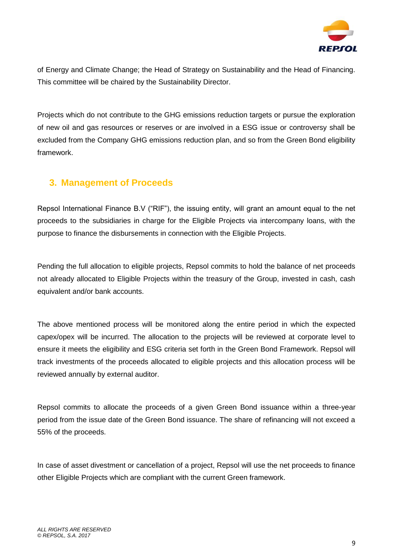

of Energy and Climate Change; the Head of Strategy on Sustainability and the Head of Financing. This committee will be chaired by the Sustainability Director.

Projects which do not contribute to the GHG emissions reduction targets or pursue the exploration of new oil and gas resources or reserves or are involved in a ESG issue or controversy shall be excluded from the Company GHG emissions reduction plan, and so from the Green Bond eligibility framework.

### **3. Management of Proceeds**

Repsol International Finance B.V ("RIF"), the issuing entity, will grant an amount equal to the net proceeds to the subsidiaries in charge for the Eligible Projects via intercompany loans, with the purpose to finance the disbursements in connection with the Eligible Projects.

Pending the full allocation to eligible projects, Repsol commits to hold the balance of net proceeds not already allocated to Eligible Projects within the treasury of the Group, invested in cash, cash equivalent and/or bank accounts.

The above mentioned process will be monitored along the entire period in which the expected capex/opex will be incurred. The allocation to the projects will be reviewed at corporate level to ensure it meets the eligibility and ESG criteria set forth in the Green Bond Framework. Repsol will track investments of the proceeds allocated to eligible projects and this allocation process will be reviewed annually by external auditor.

Repsol commits to allocate the proceeds of a given Green Bond issuance within a three-year period from the issue date of the Green Bond issuance. The share of refinancing will not exceed a 55% of the proceeds.

In case of asset divestment or cancellation of a project, Repsol will use the net proceeds to finance other Eligible Projects which are compliant with the current Green framework.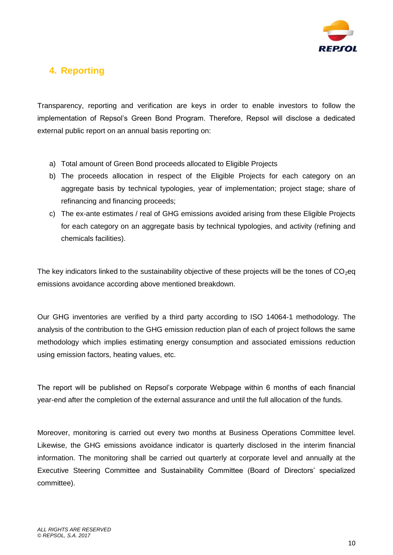

# **4. Reporting**

Transparency, reporting and verification are keys in order to enable investors to follow the implementation of Repsol's Green Bond Program. Therefore, Repsol will disclose a dedicated external public report on an annual basis reporting on:

- a) Total amount of Green Bond proceeds allocated to Eligible Projects
- b) The proceeds allocation in respect of the Eligible Projects for each category on an aggregate basis by technical typologies, year of implementation; project stage; share of refinancing and financing proceeds;
- c) The ex-ante estimates / real of GHG emissions avoided arising from these Eligible Projects for each category on an aggregate basis by technical typologies, and activity (refining and chemicals facilities).

The key indicators linked to the sustainability objective of these projects will be the tones of  $CO<sub>2</sub>$ eq emissions avoidance according above mentioned breakdown.

Our GHG inventories are verified by a third party according to ISO 14064-1 methodology. The analysis of the contribution to the GHG emission reduction plan of each of project follows the same methodology which implies estimating energy consumption and associated emissions reduction using emission factors, heating values, etc.

The report will be published on Repsol's corporate Webpage within 6 months of each financial year-end after the completion of the external assurance and until the full allocation of the funds.

Moreover, monitoring is carried out every two months at Business Operations Committee level. Likewise, the GHG emissions avoidance indicator is quarterly disclosed in the interim financial information. The monitoring shall be carried out quarterly at corporate level and annually at the Executive Steering Committee and Sustainability Committee (Board of Directors' specialized committee).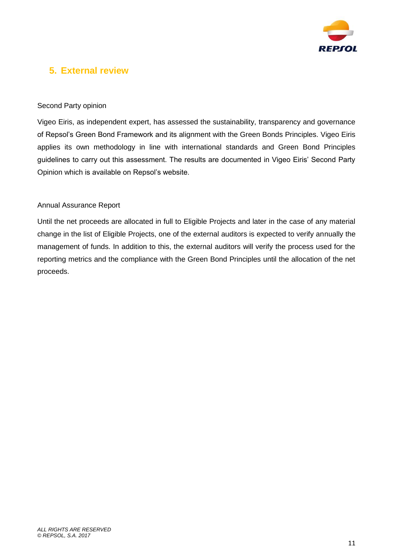

## **5. External review**

#### Second Party opinion

Vigeo Eiris, as independent expert, has assessed the sustainability, transparency and governance of Repsol's Green Bond Framework and its alignment with the Green Bonds Principles. Vigeo Eiris applies its own methodology in line with international standards and Green Bond Principles guidelines to carry out this assessment. The results are documented in Vigeo Eiris' Second Party Opinion which is available on Repsol's website.

#### Annual Assurance Report

Until the net proceeds are allocated in full to Eligible Projects and later in the case of any material change in the list of Eligible Projects, one of the external auditors is expected to verify annually the management of funds. In addition to this, the external auditors will verify the process used for the reporting metrics and the compliance with the Green Bond Principles until the allocation of the net proceeds.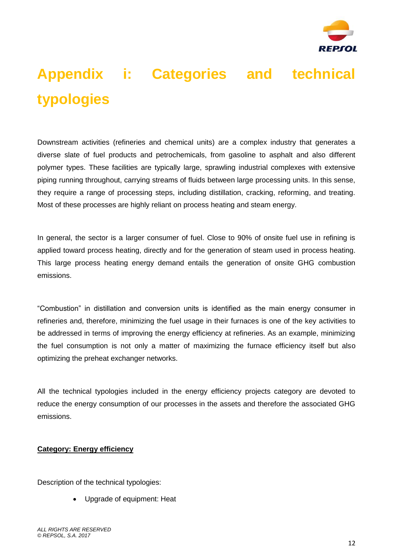

# **Appendix i: Categories and technical typologies**

Downstream activities (refineries and chemical units) are a complex industry that generates a diverse slate of fuel products and petrochemicals, from gasoline to asphalt and also different polymer types. These facilities are typically large, sprawling industrial complexes with extensive piping running throughout, carrying streams of fluids between large processing units. In this sense, they require a range of processing steps, including distillation, cracking, reforming, and treating. Most of these processes are highly reliant on process heating and steam energy.

In general, the sector is a larger consumer of fuel. Close to 90% of onsite fuel use in refining is applied toward process heating, directly and for the generation of steam used in process heating. This large process heating energy demand entails the generation of onsite GHG combustion emissions.

"Combustion" in distillation and conversion units is identified as the main energy consumer in refineries and, therefore, minimizing the fuel usage in their furnaces is one of the key activities to be addressed in terms of improving the energy efficiency at refineries. As an example, minimizing the fuel consumption is not only a matter of maximizing the furnace efficiency itself but also optimizing the preheat exchanger networks.

All the technical typologies included in the energy efficiency projects category are devoted to reduce the energy consumption of our processes in the assets and therefore the associated GHG emissions.

#### **Category: Energy efficiency**

Description of the technical typologies:

Upgrade of equipment: Heat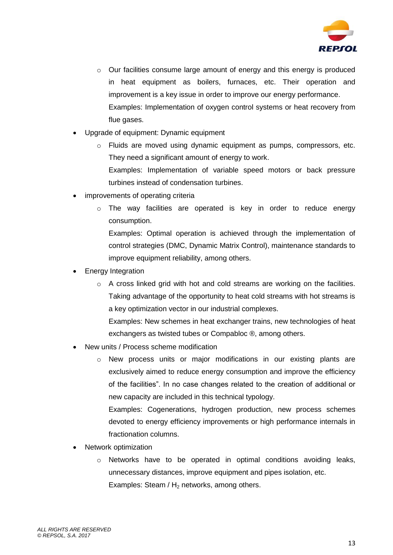

- $\circ$  Our facilities consume large amount of energy and this energy is produced in heat equipment as boilers, furnaces, etc. Their operation and improvement is a key issue in order to improve our energy performance. Examples: Implementation of oxygen control systems or heat recovery from flue gases.
- Upgrade of equipment: Dynamic equipment
	- o Fluids are moved using dynamic equipment as pumps, compressors, etc. They need a significant amount of energy to work. Examples: Implementation of variable speed motors or back pressure turbines instead of condensation turbines.
- improvements of operating criteria
	- $\circ$  The way facilities are operated is key in order to reduce energy consumption.

Examples: Optimal operation is achieved through the implementation of control strategies (DMC, Dynamic Matrix Control), maintenance standards to improve equipment reliability, among others.

- Energy Integration
	- $\circ$  A cross linked grid with hot and cold streams are working on the facilities. Taking advantage of the opportunity to heat cold streams with hot streams is a key optimization vector in our industrial complexes.

Examples: New schemes in heat exchanger trains, new technologies of heat exchangers as twisted tubes or Compabloc ®, among others.

- New units / Process scheme modification
	- $\circ$  New process units or major modifications in our existing plants are exclusively aimed to reduce energy consumption and improve the efficiency of the facilities". In no case changes related to the creation of additional or new capacity are included in this technical typology.

Examples: Cogenerations, hydrogen production, new process schemes devoted to energy efficiency improvements or high performance internals in fractionation columns.

- Network optimization
	- $\circ$  Networks have to be operated in optimal conditions avoiding leaks, unnecessary distances, improve equipment and pipes isolation, etc. Examples: Steam /  $H_2$  networks, among others.